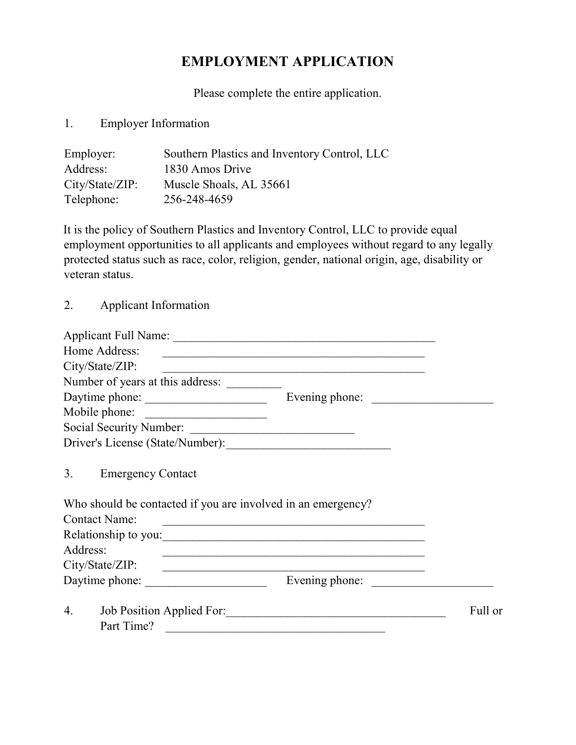# EMPLOYMENT APPLICATION

Please complete the entire application.

## 1. Employer Information

| Employer:       | Southern Plastics and Inventory Control, LLC |
|-----------------|----------------------------------------------|
| Address:        | 1830 Amos Drive                              |
| City/State/ZIP: | Muscle Shoals, AL 35661                      |
| Telephone:      | 256-248-4659                                 |

It is the policy of Southern Plastics and Inventory Control, LLC to provide equal employment opportunities to all applicants and employees without regard to any legally protected status such as race, color, religion, gender, national origin, age, disability or veteran status.

#### 2. Applicant Information

| Home Address:                    | <u> 1989 - Johann Stoff, amerikansk politiker (d. 1989)</u>                                                                                                                                                                          |  |
|----------------------------------|--------------------------------------------------------------------------------------------------------------------------------------------------------------------------------------------------------------------------------------|--|
| City/State/ZIP:                  |                                                                                                                                                                                                                                      |  |
| Number of years at this address: |                                                                                                                                                                                                                                      |  |
| Daytime phone:                   | Evening phone:                                                                                                                                                                                                                       |  |
| Mobile phone:                    | <u> 1989 - Andrea Stationer, fransk politiker (</u>                                                                                                                                                                                  |  |
| Social Security Number:          | <u> 1989 - Jan Stern Stern Stern Stern Stern Stern Stern Stern Stern Stern Stern Stern Stern Stern Stern Stern Stern Stern Stern Stern Stern Stern Stern Stern Stern Stern Stern Stern Stern Stern Stern Stern Stern Stern Stern</u> |  |
|                                  |                                                                                                                                                                                                                                      |  |
| 3.<br><b>Emergency Contact</b>   | Who should be contacted if you are involved in an emergency?                                                                                                                                                                         |  |
| <b>Contact Name:</b>             | <u> 1989 - Johann Barbara, marka a shekara tsa 1989 - An tsa 1989 - An tsa 1989 - An tsa 1989 - An tsa 1989 - An</u>                                                                                                                 |  |
| Address:                         | Relationship to you:                                                                                                                                                                                                                 |  |
|                                  |                                                                                                                                                                                                                                      |  |
| City/State/ZIP:                  |                                                                                                                                                                                                                                      |  |
| Daytime phone:                   | <u> 1989 - Jan Sterlinger, skriuwer fan it ferstjer fan de Amerikaanske kommunister fan de Amerikaanske kommunister</u><br>Evening phone:                                                                                            |  |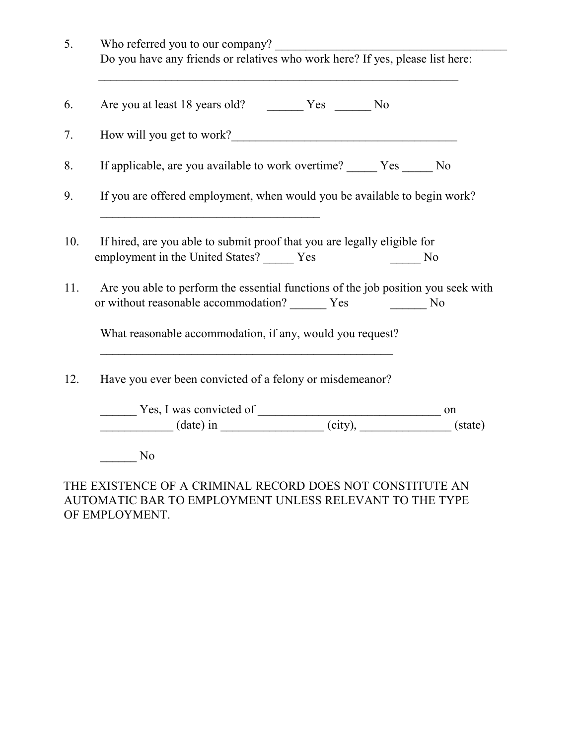| 5.  | Who referred you to our company?                                                                                                            |  |  |  |
|-----|---------------------------------------------------------------------------------------------------------------------------------------------|--|--|--|
|     | Do you have any friends or relatives who work here? If yes, please list here:                                                               |  |  |  |
| 6.  |                                                                                                                                             |  |  |  |
| 7.  |                                                                                                                                             |  |  |  |
| 8.  | If applicable, are you available to work overtime? _______ Yes ______ No                                                                    |  |  |  |
| 9.  | If you are offered employment, when would you be available to begin work?                                                                   |  |  |  |
| 10. | If hired, are you able to submit proof that you are legally eligible for<br>employment in the United States? ______ Yes<br>No               |  |  |  |
| 11. | Are you able to perform the essential functions of the job position you seek with<br>or without reasonable accommodation? ______ Yes<br>No. |  |  |  |
|     | What reasonable accommodation, if any, would you request?                                                                                   |  |  |  |
| 12. | Have you ever been convicted of a felony or misdemeanor?                                                                                    |  |  |  |
|     |                                                                                                                                             |  |  |  |
|     | $Y$ es, I was convicted of $\frac{\ }{}$ on $\frac{\ }{}$ on (date) in $\frac{\ }{}$ (state)                                                |  |  |  |
|     | No                                                                                                                                          |  |  |  |

## THE EXISTENCE OF A CRIMINAL RECORD DOES NOT CONSTITUTE AN AUTOMATIC BAR TO EMPLOYMENT UNLESS RELEVANT TO THE TYPE OF EMPLOYMENT.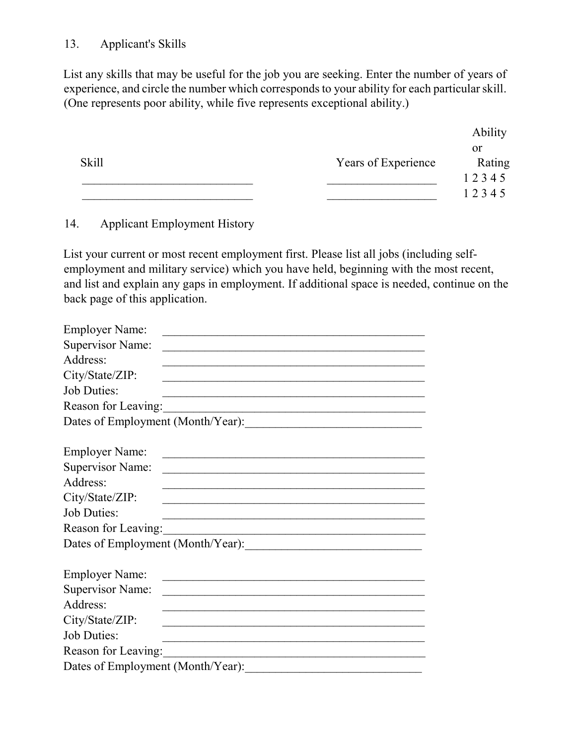## 13. Applicant's Skills

List any skills that may be useful for the job you are seeking. Enter the number of years of experience, and circle the number which corresponds to your ability for each particular skill. (One represents poor ability, while five represents exceptional ability.)

|              |                     | Ability |
|--------------|---------------------|---------|
|              |                     | or      |
| <b>Skill</b> | Years of Experience | Rating  |
|              |                     | 12345   |
|              |                     | 12345   |

## 14. Applicant Employment History

List your current or most recent employment first. Please list all jobs (including selfemployment and military service) which you have held, beginning with the most recent, and list and explain any gaps in employment. If additional space is needed, continue on the back page of this application.

| <b>Employer Name:</b>             |                                                                                                                      |
|-----------------------------------|----------------------------------------------------------------------------------------------------------------------|
| <b>Supervisor Name:</b>           |                                                                                                                      |
| Address:                          |                                                                                                                      |
| City/State/ZIP:                   |                                                                                                                      |
| <b>Job Duties:</b>                |                                                                                                                      |
| Reason for Leaving:               |                                                                                                                      |
|                                   | Dates of Employment (Month/Year):                                                                                    |
|                                   |                                                                                                                      |
| <b>Employer Name:</b>             | <u> 1989 - Johann John Stein, marwolaethau (b. 1989)</u>                                                             |
| <b>Supervisor Name:</b>           |                                                                                                                      |
| Address:                          |                                                                                                                      |
| City/State/ZIP:                   |                                                                                                                      |
| <b>Job Duties:</b>                | <u> 1989 - Johann Barn, mars eta bat erroman erroman erroman erroman erroman erroman erroman erroman erroman err</u> |
| Reason for Leaving:               | <u> 2008 - Jan James James Jan James James James James James James James James James James James James James Jam</u> |
|                                   | Dates of Employment (Month/Year):                                                                                    |
|                                   |                                                                                                                      |
| <b>Employer Name:</b>             | <u> 1980 - Johann John Stone, Amerikaansk politiker († 1908)</u>                                                     |
| <b>Supervisor Name:</b>           |                                                                                                                      |
| Address:                          |                                                                                                                      |
| City/State/ZIP:                   |                                                                                                                      |
| <b>Job Duties:</b>                |                                                                                                                      |
| Reason for Leaving:               |                                                                                                                      |
| Dates of Employment (Month/Year): |                                                                                                                      |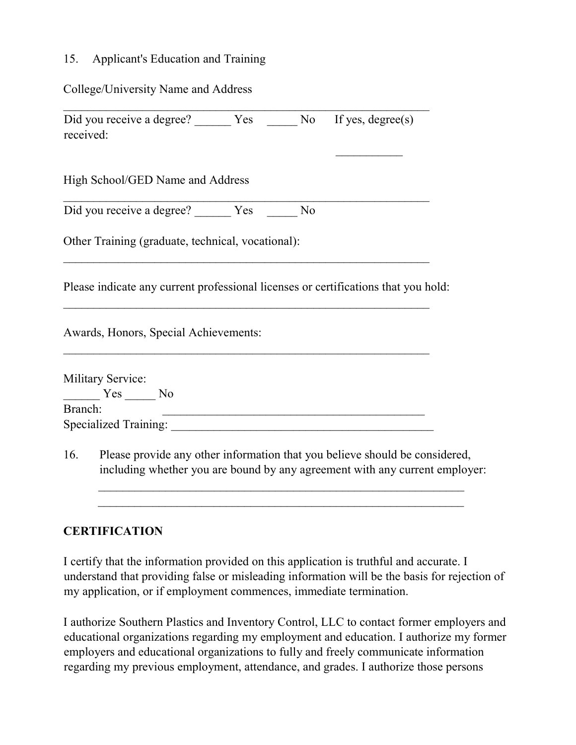#### 15. Applicant's Education and Training

#### College/University Name and Address

Did you receive a degree? <br> Yes \_\_\_\_\_ No If yes, degree(s) received:

High School/GED Name and Address

Did you receive a degree? Yes No

Other Training (graduate, technical, vocational):

Please indicate any current professional licenses or certifications that you hold:

Awards, Honors, Special Achievements:

| <b>Military Service:</b> |              |
|--------------------------|--------------|
| Yes                      | $N_{\Omega}$ |
| Branch:                  |              |
| Specialized Training:    |              |

16. Please provide any other information that you believe should be considered, including whether you are bound by any agreement with any current employer:

 $\mathcal{L}_\text{max}$  and the contract of the contract of the contract of the contract of the contract of the contract of

## **CERTIFICATION**

I certify that the information provided on this application is truthful and accurate. I understand that providing false or misleading information will be the basis for rejection of my application, or if employment commences, immediate termination.

I authorize Southern Plastics and Inventory Control, LLC to contact former employers and educational organizations regarding my employment and education. I authorize my former employers and educational organizations to fully and freely communicate information regarding my previous employment, attendance, and grades. I authorize those persons